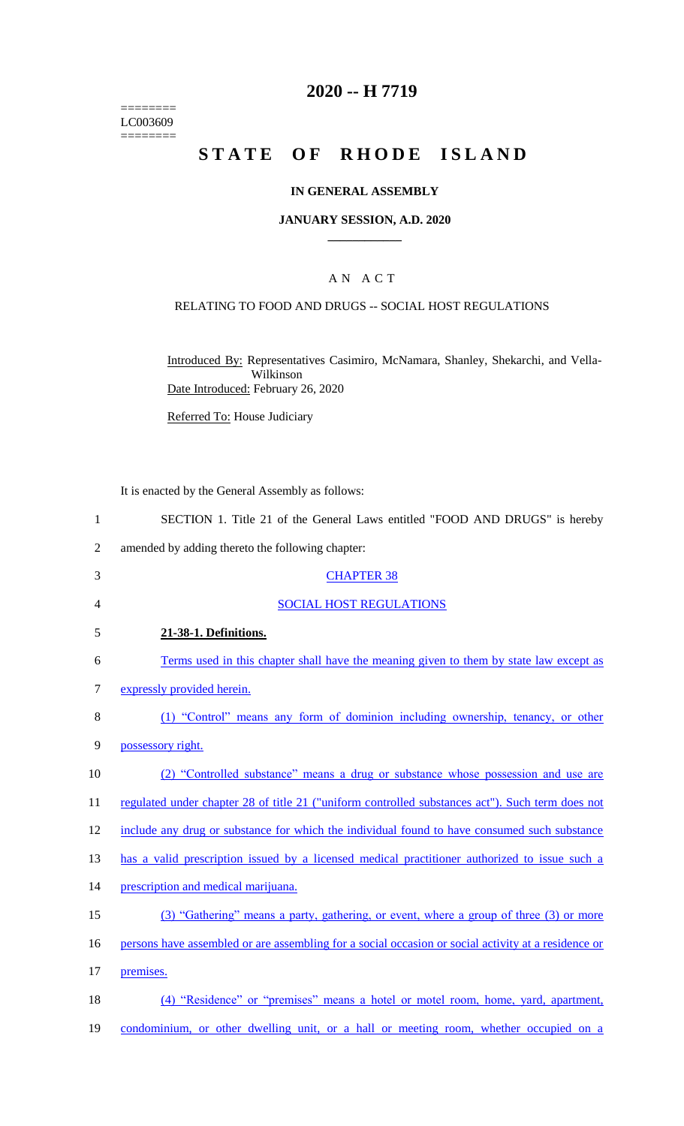======== LC003609 ========

## **2020 -- H 7719**

# **STATE OF RHODE ISLAND**

### **IN GENERAL ASSEMBLY**

#### **JANUARY SESSION, A.D. 2020 \_\_\_\_\_\_\_\_\_\_\_\_**

## A N A C T

#### RELATING TO FOOD AND DRUGS -- SOCIAL HOST REGULATIONS

Introduced By: Representatives Casimiro, McNamara, Shanley, Shekarchi, and Vella-Wilkinson Date Introduced: February 26, 2020

Referred To: House Judiciary

It is enacted by the General Assembly as follows:

- 1 SECTION 1. Title 21 of the General Laws entitled "FOOD AND DRUGS" is hereby
- 2 amended by adding thereto the following chapter:
- 3 CHAPTER 38 4 SOCIAL HOST REGULATIONS 5 **21-38-1. Definitions.**  6 Terms used in this chapter shall have the meaning given to them by state law except as 7 expressly provided herein. 8 (1) "Control" means any form of dominion including ownership, tenancy, or other 9 possessory right. 10 (2) "Controlled substance" means a drug or substance whose possession and use are 11 regulated under chapter 28 of title 21 ("uniform controlled substances act"). Such term does not 12 include any drug or substance for which the individual found to have consumed such substance 13 has a valid prescription issued by a licensed medical practitioner authorized to issue such a 14 prescription and medical marijuana. 15 (3) "Gathering" means a party, gathering, or event, where a group of three (3) or more 16 persons have assembled or are assembling for a social occasion or social activity at a residence or 17 premises. 18 (4) "Residence" or "premises" means a hotel or motel room, home, yard, apartment, 19 condominium, or other dwelling unit, or a hall or meeting room, whether occupied on a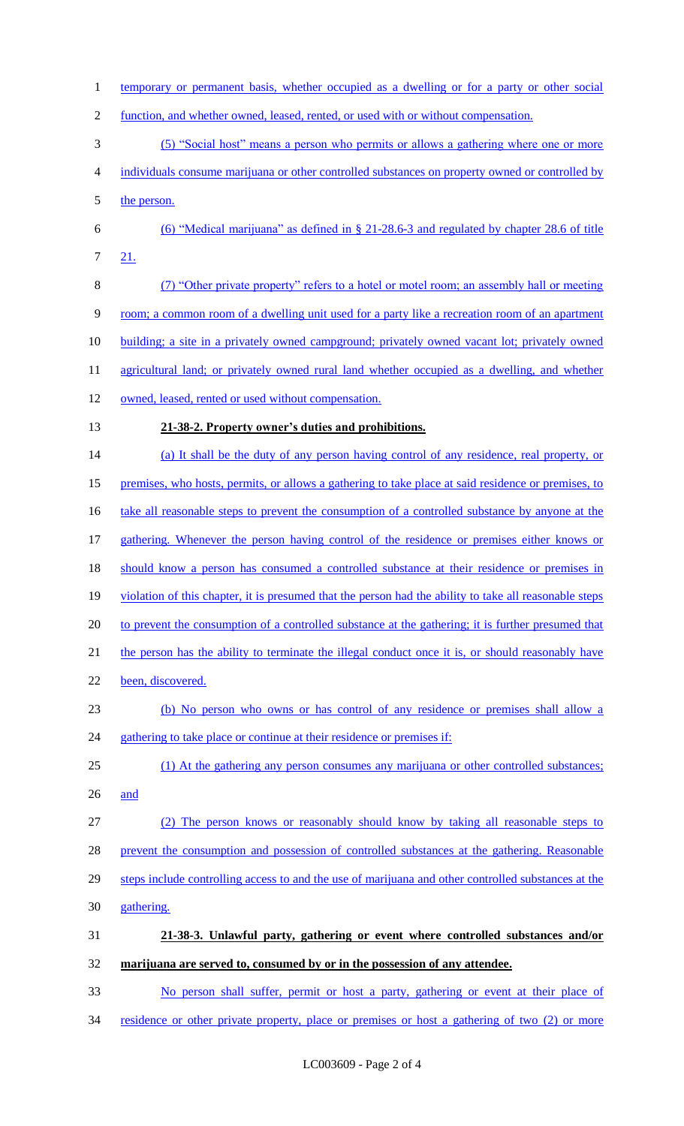1 temporary or permanent basis, whether occupied as a dwelling or for a party or other social function, and whether owned, leased, rented, or used with or without compensation. (5) "Social host" means a person who permits or allows a gathering where one or more individuals consume marijuana or other controlled substances on property owned or controlled by 5 the person. (6) "Medical marijuana" as defined in § 21-28.6-3 and regulated by chapter 28.6 of title 21. (7) "Other private property" refers to a hotel or motel room; an assembly hall or meeting room; a common room of a dwelling unit used for a party like a recreation room of an apartment building; a site in a privately owned campground; privately owned vacant lot; privately owned 11 agricultural land; or privately owned rural land whether occupied as a dwelling, and whether 12 owned, leased, rented or used without compensation. **21-38-2. Property owner's duties and prohibitions.**  14 (a) It shall be the duty of any person having control of any residence, real property, or premises, who hosts, permits, or allows a gathering to take place at said residence or premises, to 16 take all reasonable steps to prevent the consumption of a controlled substance by anyone at the gathering. Whenever the person having control of the residence or premises either knows or 18 should know a person has consumed a controlled substance at their residence or premises in violation of this chapter, it is presumed that the person had the ability to take all reasonable steps to prevent the consumption of a controlled substance at the gathering; it is further presumed that 21 the person has the ability to terminate the illegal conduct once it is, or should reasonably have been, discovered. (b) No person who owns or has control of any residence or premises shall allow a 24 gathering to take place or continue at their residence or premises if: 25 (1) At the gathering any person consumes any marijuana or other controlled substances; and (2) The person knows or reasonably should know by taking all reasonable steps to prevent the consumption and possession of controlled substances at the gathering. Reasonable 29 steps include controlling access to and the use of marijuana and other controlled substances at the gathering. **21-38-3. Unlawful party, gathering or event where controlled substances and/or marijuana are served to, consumed by or in the possession of any attendee.**  No person shall suffer, permit or host a party, gathering or event at their place of 34 residence or other private property, place or premises or host a gathering of two (2) or more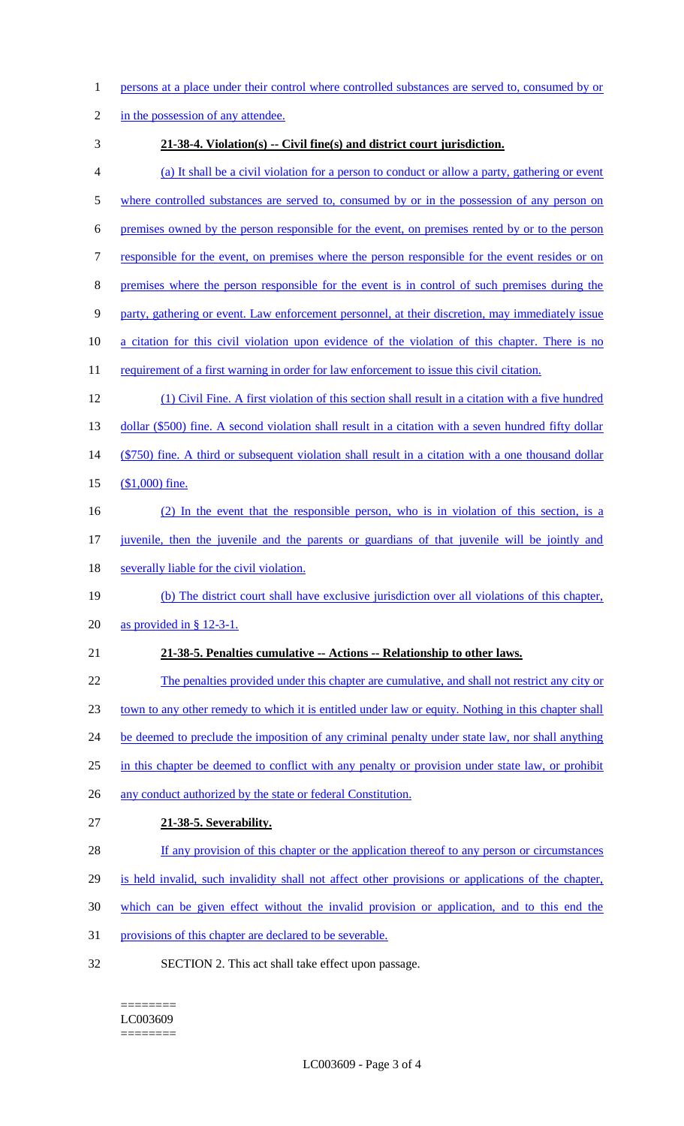- 1 persons at a place under their control where controlled substances are served to, consumed by or
- 2 in the possession of any attendee.
- 

## 3 **21-38-4. Violation(s) -- Civil fine(s) and district court jurisdiction.**

- 4 (a) It shall be a civil violation for a person to conduct or allow a party, gathering or event
- 5 where controlled substances are served to, consumed by or in the possession of any person on
- 6 premises owned by the person responsible for the event, on premises rented by or to the person
- 7 responsible for the event, on premises where the person responsible for the event resides or on
- 8 premises where the person responsible for the event is in control of such premises during the
- 9 party, gathering or event. Law enforcement personnel, at their discretion, may immediately issue
- 10 a citation for this civil violation upon evidence of the violation of this chapter. There is no
- 11 requirement of a first warning in order for law enforcement to issue this civil citation.
- 12 (1) Civil Fine. A first violation of this section shall result in a citation with a five hundred 13 dollar (\$500) fine. A second violation shall result in a citation with a seven hundred fifty dollar 14 (\$750) fine. A third or subsequent violation shall result in a citation with a one thousand dollar
- 15 (\$1,000) fine.
- 16 (2) In the event that the responsible person, who is in violation of this section, is a
- 17 juvenile, then the juvenile and the parents or guardians of that juvenile will be jointly and
- 18 severally liable for the civil violation.
- 19 (b) The district court shall have exclusive jurisdiction over all violations of this chapter,
- 20 as provided in § 12-3-1.
- 21 **21-38-5. Penalties cumulative -- Actions -- Relationship to other laws.**
- 22 The penalties provided under this chapter are cumulative, and shall not restrict any city or 23 town to any other remedy to which it is entitled under law or equity. Nothing in this chapter shall 24 be deemed to preclude the imposition of any criminal penalty under state law, nor shall anything 25 in this chapter be deemed to conflict with any penalty or provision under state law, or prohibit 26 any conduct authorized by the state or federal Constitution. 27 **21-38-5. Severability.**  28 If any provision of this chapter or the application thereof to any person or circumstances
- 29 is held invalid, such invalidity shall not affect other provisions or applications of the chapter,
- 30 which can be given effect without the invalid provision or application, and to this end the
- 31 provisions of this chapter are declared to be severable.
- 32 SECTION 2. This act shall take effect upon passage.

#### ======== LC003609 ========